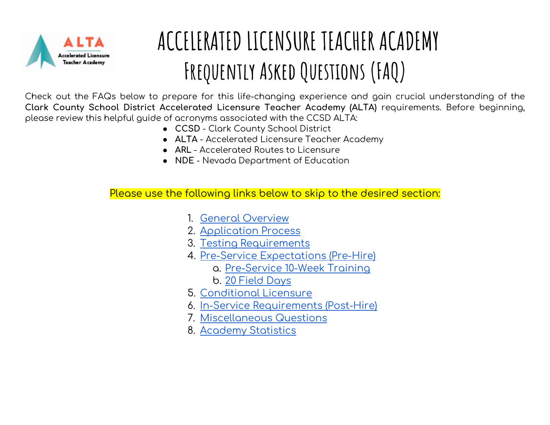

## **ACCELERATED LICENSURE TEACHER ACADEMY Frequently Asked Questions (FAQ)**

Check out the FAQs below to prepare for this life-changing experience and gain crucial understanding of the **Clark County School District Accelerated Licensure Teacher Academy (ALTA)** requirements. Before beginning, please review this helpful guide of acronyms associated with the CCSD ALTA:

- **CCSD** Clark County School District
- **ALTA** Accelerated Licensure Teacher Academy
- **ARL**  Accelerated Routes to Licensure
- **NDE**  Nevada Department of Education

Please use the following links below to skip to the desired section:

- 1. [General Overview](#page-1-0)
- 2. [Application Process](#page-2-0)
- 3. [Testing Requirements](#page-4-0)
- 4. [Pre-Service Expectations \(Pre-Hire\)](#page-5-0)
	- a. [Pre-Service 10-Week Training](#page-5-1)
	- b. [20 Field Days](#page-7-0)
- 5. Conditional Licensure
- 6. [In-Service Requirements \(Post-Hire\)](#page-10-0)
- 7. [Miscellaneous Questions](#page-11-0)
- 8. [Academy Statistics](#page-12-0)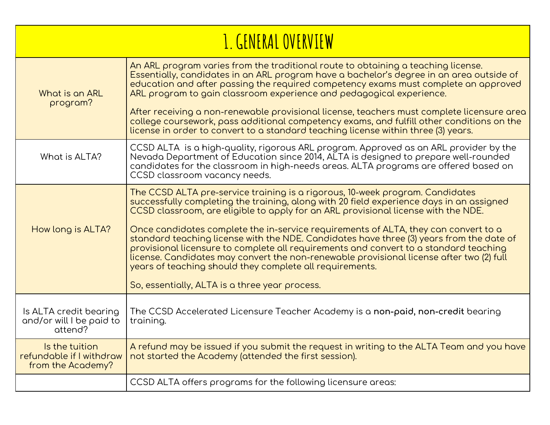<span id="page-1-0"></span>

| <u>I. GENERAL OVERVIEW</u>                                      |                                                                                                                                                                                                                                                                                                                                                                                                                                                                                                                                                                                                                                                                                                                                                       |
|-----------------------------------------------------------------|-------------------------------------------------------------------------------------------------------------------------------------------------------------------------------------------------------------------------------------------------------------------------------------------------------------------------------------------------------------------------------------------------------------------------------------------------------------------------------------------------------------------------------------------------------------------------------------------------------------------------------------------------------------------------------------------------------------------------------------------------------|
| What is an ARL<br>program?                                      | An ARL program varies from the traditional route to obtaining a teaching license.<br>Essentially, candidates in an ARL program have a bachelor's degree in an area outside of<br>education and after passing the required competency exams must complete an approved<br>ARL program to gain classroom experience and pedagogical experience.<br>After receiving a non-renewable provisional license, teachers must complete licensure area<br>college coursework, pass additional competency exams, and fulfill other conditions on the<br>license in order to convert to a standard teaching license within three (3) years.                                                                                                                         |
| What is ALTA?                                                   | CCSD ALTA is a high-quality, rigorous ARL program. Approved as an ARL provider by the<br>Nevada Department of Education since 2014, ALTA is designed to prepare well-rounded<br>candidates for the classroom in high-needs areas. ALTA programs are offered based on<br>CCSD classroom vacancy needs.                                                                                                                                                                                                                                                                                                                                                                                                                                                 |
| How long is ALTA?                                               | The CCSD ALTA pre-service training is a rigorous, 10-week program. Candidates<br>successfully completing the training, along with 20 field experience days in an assigned<br>CCSD classroom, are eligible to apply for an ARL provisional license with the NDE.<br>Once candidates complete the in-service requirements of ALTA, they can convert to a<br>standard teaching license with the NDE. Candidates have three (3) years from the date of<br>provisional licensure to complete all requirements and convert to a standard teaching<br>license. Candidates may convert the non-renewable provisional license after two (2) full<br>years of teaching should they complete all requirements.<br>So, essentially, ALTA is a three year process. |
| Is ALTA credit bearing<br>and/or will I be paid to<br>attend?   | The CCSD Accelerated Licensure Teacher Academy is a non-paid, non-credit bearing<br>training.                                                                                                                                                                                                                                                                                                                                                                                                                                                                                                                                                                                                                                                         |
| Is the tuition<br>refundable if I withdraw<br>from the Academy? | A refund may be issued if you submit the request in writing to the ALTA Team and you have<br>not started the Academy (attended the first session).                                                                                                                                                                                                                                                                                                                                                                                                                                                                                                                                                                                                    |
|                                                                 | CCSD ALTA offers programs for the following licensure areas:                                                                                                                                                                                                                                                                                                                                                                                                                                                                                                                                                                                                                                                                                          |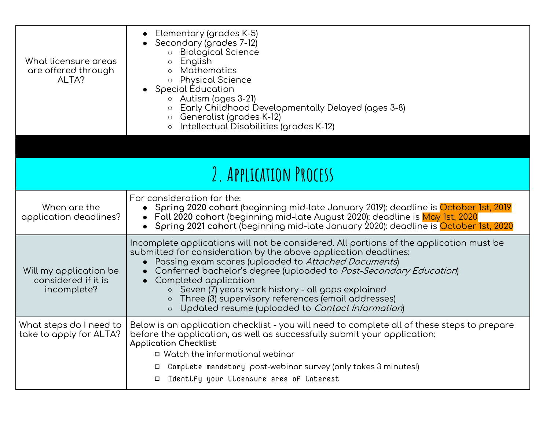<span id="page-2-0"></span>

| What licensure areas<br>are offered through<br>ALTA?         | Elementary (grades K-5)<br>Secondary (grades 7-12)<br><b>Biological Science</b><br>English<br>$\circ$<br><b>Mathematics</b><br>$\circ$<br><b>Physical Science</b><br>$\circlearrowright$<br>• Special Education<br>$\circ$ Autism (ages 3-21)<br>Early Childhood Developmentally Delayed (ages 3-8)<br>Generalist (grades K-12)<br>$\circlearrowright$<br>Intellectual Disabilities (grades K-12)                                                                                                                 |  |
|--------------------------------------------------------------|-------------------------------------------------------------------------------------------------------------------------------------------------------------------------------------------------------------------------------------------------------------------------------------------------------------------------------------------------------------------------------------------------------------------------------------------------------------------------------------------------------------------|--|
|                                                              |                                                                                                                                                                                                                                                                                                                                                                                                                                                                                                                   |  |
| 2. APPLICATION PROCESS                                       |                                                                                                                                                                                                                                                                                                                                                                                                                                                                                                                   |  |
| When are the<br>application deadlines?                       | For consideration for the:<br>Spring 2020 cohort (beginning mid-late January 2019): deadline is October 1st, 2019<br>Fall 2020 cohort (beginning mid-late August 2020): deadline is May 1st, 2020<br>Spring 2021 cohort (beginning mid-late January 2020): deadline is <mark>October 1st, 2020</mark>                                                                                                                                                                                                             |  |
| Will my application be<br>considered if it is<br>incomplete? | Incomplete applications will not be considered. All portions of the application must be<br>submitted for consideration by the above application deadlines:<br>Passing exam scores (uploaded to Attached Documents)<br>Conferred bachelor's degree (uploaded to Post-Secondary Education)<br>Completed application<br>Seven (7) years work history - all gaps explained<br>$\circ$<br>Three (3) supervisory references (email addresses)<br>$\circ$<br>Updated resume (uploaded to Contact Information)<br>$\circ$ |  |
| What steps do I need to<br>take to apply for ALTA?           | Below is an application checklist - you will need to complete all of these steps to prepare<br>before the application, as well as successfully submit your application:<br><b>Application Checklist:</b><br>□ Watch the informational webinar<br>Complete mandatory post-webinar survey (only takes 3 minutes!)<br>□<br>Identify your licensure area of interest<br>□                                                                                                                                             |  |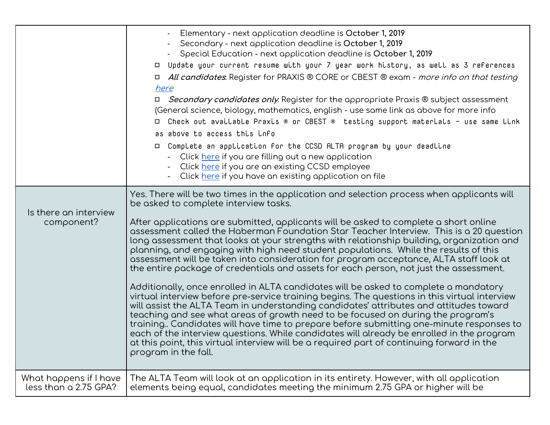|                                                 | Elementary - next application deadline is October 1, 2019<br>Secondary - next application deadline is October 1, 2019<br>Special Education - next application deadline is October 1, 2019<br>□ Update your current resume with your 7 year work history, as well as 3 references<br>□ All candidates. Register for PRAXIS ® CORE or CBEST ® exam - more info on that testing<br>here<br>□ <i>Secondary candidates only</i> . Register for the appropriate Praxis ® subject assessment<br>(General science, biology, mathematics, english - use same link as above for more info<br>□ Check out available Praxis ® or CBEST ® testing support materials - use same link<br>as above to access this info<br>□ Complete an application for the CCSD ALTA program by your deadline<br>- Click here if you are filling out a new application<br>Click <u>here</u> if you are an existing CCSD employee<br>Click here if you have an existing application on file                                                                                                                                                                                                                                                                                                                                                                                                                           |
|-------------------------------------------------|---------------------------------------------------------------------------------------------------------------------------------------------------------------------------------------------------------------------------------------------------------------------------------------------------------------------------------------------------------------------------------------------------------------------------------------------------------------------------------------------------------------------------------------------------------------------------------------------------------------------------------------------------------------------------------------------------------------------------------------------------------------------------------------------------------------------------------------------------------------------------------------------------------------------------------------------------------------------------------------------------------------------------------------------------------------------------------------------------------------------------------------------------------------------------------------------------------------------------------------------------------------------------------------------------------------------------------------------------------------------------------------|
| Is there an interview<br>component?             | Yes. There will be two times in the application and selection process when applicants will<br>be asked to complete interview tasks.<br>After applications are submitted, applicants will be asked to complete a short online<br>assessment called the Haberman Foundation Star Teacher Interview. This is a 20 question<br>long assessment that looks at your strengths with relationship building, organization and<br>planning, and engaging with high need student populations. While the results of this<br>assessment will be taken into consideration for program acceptance, ALTA staff look at<br>the entire package of credentials and assets for each person, not just the assessment.<br>Additionally, once enrolled in ALTA candidates will be asked to complete a mandatory<br>virtual interview before pre-service training begins. The questions in this virtual interview<br>will assist the ALTA Team in understanding candidates' attributes and attitudes toward<br>teaching and see what areas of growth need to be focused on during the program's<br>training Candidates will have time to prepare before submitting one-minute responses to<br>each of the interview questions. While candidates will already be enrolled in the program<br>at this point, this virtual interview will be a required part of continuing forward in the<br>program in the fall. |
| What happens if I have<br>less than a 2.75 GPA? | The ALTA Team will look at an application in its entirety. However, with all application<br>elements being equal, candidates meeting the minimum 2.75 GPA or higher will be                                                                                                                                                                                                                                                                                                                                                                                                                                                                                                                                                                                                                                                                                                                                                                                                                                                                                                                                                                                                                                                                                                                                                                                                           |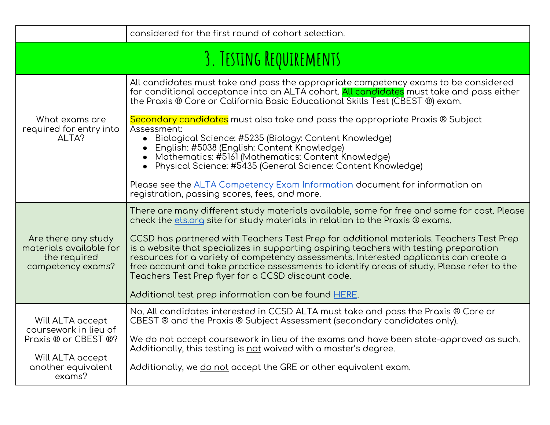<span id="page-4-0"></span>

|                                                                                                                       | considered for the first round of cohort selection.                                                                                                                                                                                                                                                                                                                                                                                                                                                                                                                                                                                                                   |  |
|-----------------------------------------------------------------------------------------------------------------------|-----------------------------------------------------------------------------------------------------------------------------------------------------------------------------------------------------------------------------------------------------------------------------------------------------------------------------------------------------------------------------------------------------------------------------------------------------------------------------------------------------------------------------------------------------------------------------------------------------------------------------------------------------------------------|--|
| 3. TESTING REQUIREMENTS                                                                                               |                                                                                                                                                                                                                                                                                                                                                                                                                                                                                                                                                                                                                                                                       |  |
|                                                                                                                       | All candidates must take and pass the appropriate competency exams to be considered<br>for conditional acceptance into an ALTA cohort. All candidates must take and pass either<br>the Praxis ® Core or California Basic Educational Skills Test (CBEST ®) exam.                                                                                                                                                                                                                                                                                                                                                                                                      |  |
| What exams are<br>required for entry into<br>ALTA?                                                                    | Secondary candidates must also take and pass the appropriate Praxis ® Subject<br>Assessment:<br>• Biological Science: #5235 (Biology: Content Knowledge)<br>English: #5038 (English: Content Knowledge)<br>Mathematics: #5161 (Mathematics: Content Knowledge)<br>Physical Science: #5435 (General Science: Content Knowledge)                                                                                                                                                                                                                                                                                                                                        |  |
|                                                                                                                       | Please see the ALTA Competency Exam Information document for information on<br>registration, passing scores, fees, and more.                                                                                                                                                                                                                                                                                                                                                                                                                                                                                                                                          |  |
| Are there any study<br>materials available for<br>the required<br>competency exams?                                   | There are many different study materials available, some for free and some for cost. Please<br>check the ets.org site for study materials in relation to the Praxis ® exams.<br>CCSD has partnered with Teachers Test Prep for additional materials. Teachers Test Prep<br>is a website that specializes in supporting aspiring teachers with testing preparation<br>resources for a variety of competency assessments. Interested applicants can create a<br>free account and take practice assessments to identify areas of study. Please refer to the<br>Teachers Test Prep flyer for a CCSD discount code.<br>Additional test prep information can be found HERE. |  |
| Will ALTA accept<br>coursework in lieu of<br>Praxis ® or CBEST ®?<br>Will ALTA accept<br>another equivalent<br>exams? | No. All candidates interested in CCSD ALTA must take and pass the Praxis ® Core or<br>CBEST ® and the Praxis ® Subject Assessment (secondary candidates only).<br>We <u>do not</u> accept coursework in lieu of the exams and have been state-approved as such.<br>Additionally, this testing is not waived with a master's degree.<br>Additionally, we <u>do not</u> accept the GRE or other equivalent exam.                                                                                                                                                                                                                                                        |  |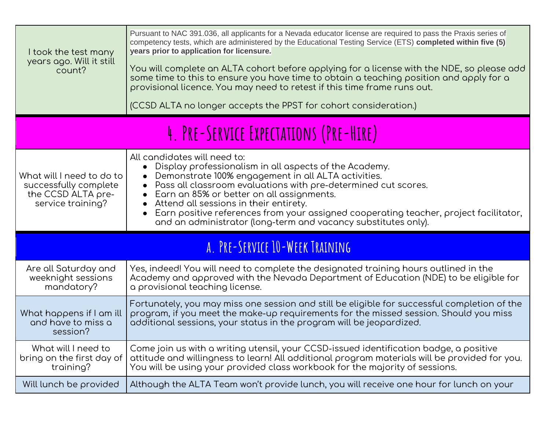<span id="page-5-1"></span><span id="page-5-0"></span>

| I took the test many<br>years ago. Will it still<br>count?                                    | Pursuant to NAC 391.036, all applicants for a Nevada educator license are required to pass the Praxis series of<br>competency tests, which are administered by the Educational Testing Service (ETS) completed within five (5)<br>years prior to application for licensure.<br>You will complete an ALTA cohort before applying for a license with the NDE, so please add<br>some time to this to ensure you have time to obtain a teaching position and apply for a<br>provisional licence. You may need to retest if this time frame runs out.<br>(CCSD ALTA no longer accepts the PPST for cohort consideration.) |  |
|-----------------------------------------------------------------------------------------------|----------------------------------------------------------------------------------------------------------------------------------------------------------------------------------------------------------------------------------------------------------------------------------------------------------------------------------------------------------------------------------------------------------------------------------------------------------------------------------------------------------------------------------------------------------------------------------------------------------------------|--|
| 4. PRE-SERVICE EXPECTATIONS (PRE-HIRE)                                                        |                                                                                                                                                                                                                                                                                                                                                                                                                                                                                                                                                                                                                      |  |
| What will I need to do to<br>successfully complete<br>the CCSD ALTA pre-<br>service training? | All candidates will need to:<br>Display professionalism in all aspects of the Academy.<br>Demonstrate 100% engagement in all ALTA activities.<br>Pass all classroom evaluations with pre-determined cut scores.<br>Earn an 85% or better on all assignments.<br>Attend all sessions in their entirety.<br>Earn positive references from your assigned cooperating teacher, project facilitator,<br>and an administrator (long-term and vacancy substitutes only).                                                                                                                                                    |  |
| A. PRE-SERVICE 10-WEEK TRAINING                                                               |                                                                                                                                                                                                                                                                                                                                                                                                                                                                                                                                                                                                                      |  |
| Are all Saturday and<br>weeknight sessions<br>mandatory?                                      | Yes, indeed! You will need to complete the designated training hours outlined in the<br>Academy and approved with the Nevada Department of Education (NDE) to be eligible for<br>a provisional teaching license.                                                                                                                                                                                                                                                                                                                                                                                                     |  |
| What happens if I am ill<br>and have to miss a<br>session?                                    | Fortunately, you may miss one session and still be eligible for successful completion of the<br>program, if you meet the make-up requirements for the missed session. Should you miss<br>additional sessions, your status in the program will be jeopardized.                                                                                                                                                                                                                                                                                                                                                        |  |
| What will I need to<br>bring on the first day of<br>training?                                 | Come join us with a writing utensil, your CCSD-issued identification badge, a positive<br>attitude and willingness to learn! All additional program materials will be provided for you.<br>You will be using your provided class workbook for the majority of sessions.                                                                                                                                                                                                                                                                                                                                              |  |
| Will lunch be provided                                                                        | Although the ALTA Team won't provide lunch, you will receive one hour for lunch on your                                                                                                                                                                                                                                                                                                                                                                                                                                                                                                                              |  |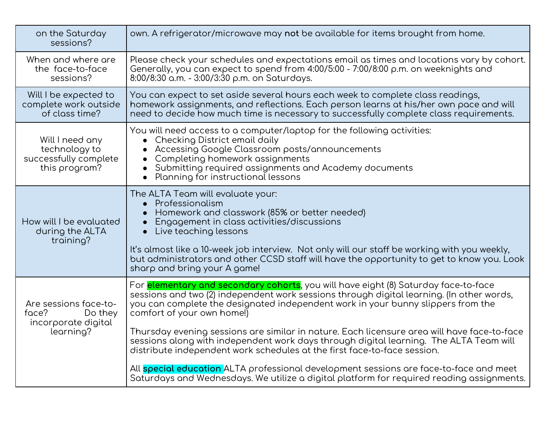| on the Saturday<br>sessions?                                                  | own. A refrigerator/microwave may not be available for items brought from home.                                                                                                                                                                                                                                                                                                                                                                                                                                                                                                 |
|-------------------------------------------------------------------------------|---------------------------------------------------------------------------------------------------------------------------------------------------------------------------------------------------------------------------------------------------------------------------------------------------------------------------------------------------------------------------------------------------------------------------------------------------------------------------------------------------------------------------------------------------------------------------------|
| When and where are<br>the face-to-face<br>sessions?                           | Please check your schedules and expectations email as times and locations vary by cohort.<br>Generally, you can expect to spend from 4:00/5:00 - 7:00/8:00 p.m. on weeknights and<br>8:00/8:30 a.m. - 3:00/3:30 p.m. on Saturdays.                                                                                                                                                                                                                                                                                                                                              |
| Will I be expected to<br>complete work outside<br>of class time?              | You can expect to set aside several hours each week to complete class readings,<br>homework assignments, and reflections. Each person learns at his/her own pace and will<br>need to decide how much time is necessary to successfully complete class requirements.                                                                                                                                                                                                                                                                                                             |
| Will I need any<br>technology to<br>successfully complete<br>this program?    | You will need access to a computer/laptop for the following activities:<br>• Checking District email daily<br>Accessing Google Classroom posts/announcements<br>Completing homework assignments<br>Submitting required assignments and Academy documents<br>Planning for instructional lessons<br>$\bullet$                                                                                                                                                                                                                                                                     |
| How will I be evaluated<br>during the ALTA<br>training?                       | The ALTA Team will evaluate your:<br>• Professionalism<br>Homework and classwork (85% or better needed)<br>Engagement in class activities/discussions<br>Live teaching lessons<br>$\bullet$<br>It's almost like a 10-week job interview. Not only will our staff be working with you weekly,<br>but administrators and other CCSD staff will have the opportunity to get to know you. Look<br>sharp and bring your A game!                                                                                                                                                      |
| Are sessions face-to-<br>face?<br>Do they<br>incorporate digital<br>learning? | For <b>elementary and secondary cohorts</b> , you will have eight (8) Saturday face-to-face<br>sessions and two (2) independent work sessions through digital learning. (In other words,<br>you can complete the designated independent work in your bunny slippers from the<br>comfort of your own home!)<br>Thursday evening sessions are similar in nature. Each licensure area will have face-to-face<br>sessions along with independent work days through digital learning. The ALTA Team will<br>distribute independent work schedules at the first face-to-face session. |
|                                                                               | All special education ALTA professional development sessions are face-to-face and meet<br>Saturdays and Wednesdays. We utilize a digital platform for required reading assignments.                                                                                                                                                                                                                                                                                                                                                                                             |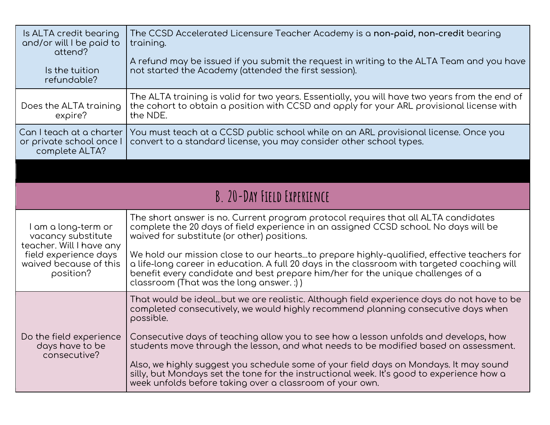<span id="page-7-0"></span>

| Is ALTA credit bearing<br>and/or will I be paid to<br>attend?                                                                         | The CCSD Accelerated Licensure Teacher Academy is a <b>non-paid, non-credit</b> bearing<br>training.                                                                                                                                                                                                                       |
|---------------------------------------------------------------------------------------------------------------------------------------|----------------------------------------------------------------------------------------------------------------------------------------------------------------------------------------------------------------------------------------------------------------------------------------------------------------------------|
| Is the tuition<br>refundable?                                                                                                         | A refund may be issued if you submit the request in writing to the ALTA Team and you have<br>not started the Academy (attended the first session).                                                                                                                                                                         |
| Does the ALTA training<br>expire?                                                                                                     | The ALTA training is valid for two years. Essentially, you will have two years from the end of<br>the cohort to obtain a position with CCSD and apply for your ARL provisional license with<br>the NDE.                                                                                                                    |
| Can I teach at a charter<br>or private school once I<br>complete ALTA?                                                                | You must teach at a CCSD public school while on an ARL provisional license. Once you<br>convert to a standard license, you may consider other school types.                                                                                                                                                                |
|                                                                                                                                       |                                                                                                                                                                                                                                                                                                                            |
|                                                                                                                                       | B. 20-DAY FIELD EXPERIENCE                                                                                                                                                                                                                                                                                                 |
| I am a long-term or<br>vacancy substitute<br>teacher. Will I have any<br>field experience days<br>waived because of this<br>position? | The short answer is no. Current program protocol requires that all ALTA candidates<br>complete the 20 days of field experience in an assigned CCSD school. No days will be<br>waived for substitute (or other) positions.                                                                                                  |
|                                                                                                                                       | We hold our mission close to our heartsto prepare highly-qualified, effective teachers for<br>a life-long career in education. A full 20 days in the classroom with targeted coaching will<br>benefit every candidate and best prepare him/her for the unique challenges of a<br>classroom (That was the long answer. :) ) |
| days have to be<br>consecutive?                                                                                                       | That would be idealbut we are realistic. Although field experience days do not have to be<br>completed consecutively, we would highly recommend planning consecutive days when<br>possible.                                                                                                                                |
|                                                                                                                                       | Do the field experience   Consecutive days of teaching allow you to see how a lesson unfolds and develops, how<br>students move through the lesson, and what needs to be modified based on assessment.                                                                                                                     |
|                                                                                                                                       | Also, we highly suggest you schedule some of your field days on Mondays. It may sound<br>silly, but Mondays set the tone for the instructional week. It's good to experience how a<br>week unfolds before taking over a classroom of your own.                                                                             |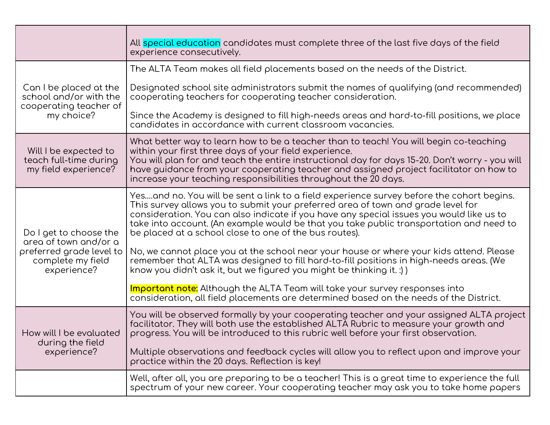|                                                                                                                 | All special education candidates must complete three of the last five days of the field<br>experience consecutively.                                                                                                                                                                                                                                                                                                           |
|-----------------------------------------------------------------------------------------------------------------|--------------------------------------------------------------------------------------------------------------------------------------------------------------------------------------------------------------------------------------------------------------------------------------------------------------------------------------------------------------------------------------------------------------------------------|
| Can I be placed at the<br>school and/or with the<br>cooperating teacher of<br>my choice?                        | The ALTA Team makes all field placements based on the needs of the District.                                                                                                                                                                                                                                                                                                                                                   |
|                                                                                                                 | Designated school site administrators submit the names of qualifying (and recommended)<br>cooperating teachers for cooperating teacher consideration.                                                                                                                                                                                                                                                                          |
|                                                                                                                 | Since the Academy is designed to fill high-needs areas and hard-to-fill positions, we place<br>candidates in accordance with current classroom vacancies.                                                                                                                                                                                                                                                                      |
| Will I be expected to<br>teach full-time during<br>my field experience?                                         | What better way to learn how to be a teacher than to teach! You will begin co-teaching<br>within your first three days of your field experience.<br>You will plan for and teach the entire instructional day for days 15-20. Don't worry - you will<br>have guidance from your cooperating teacher and assigned project facilitator on how to<br>increase your teaching responsibilities throughout the 20 days.               |
| Do I get to choose the<br>area of town and/or a<br>preferred grade level to<br>complete my field<br>experience? | Yesand no. You will be sent a link to a field experience survey before the cohort begins.<br>This survey allows you to submit your preferred area of town and grade level for<br>consideration. You can also indicate if you have any special issues you would like us to<br>take into account. (An example would be that you take public transportation and need to<br>be placed at a school close to one of the bus routes). |
|                                                                                                                 | No, we cannot place you at the school near your house or where your kids attend. Please<br>remember that ALTA was designed to fill hard-to-fill positions in high-needs areas. (We<br>know you didn't ask it, but we figured you might be thinking it. :) )                                                                                                                                                                    |
|                                                                                                                 | Important note: Although the ALTA Team will take your survey responses into<br>consideration, all field placements are determined based on the needs of the District.                                                                                                                                                                                                                                                          |
| How will I be evaluated<br>during the field<br>experience?                                                      | You will be observed formally by your cooperating teacher and your assigned ALTA project<br>facilitator. They will both use the established ALTA Rubric to measure your growth and<br>progress. You will be introduced to this rubric well before your first observation.                                                                                                                                                      |
|                                                                                                                 | Multiple observations and feedback cycles will allow you to reflect upon and improve your<br>practice within the 20 days. Reflection is key!                                                                                                                                                                                                                                                                                   |
|                                                                                                                 | Well, after all, you are preparing to be a teacher! This is a great time to experience the full<br>spectrum of your new career. Your cooperating teacher may ask you to take home papers                                                                                                                                                                                                                                       |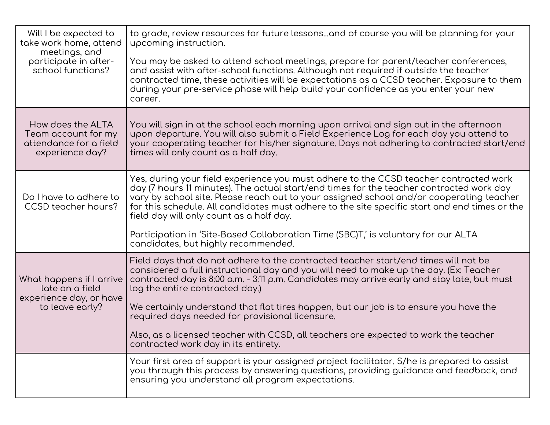| Will I be expected to<br>take work home, attend<br>meetings, and<br>participate in after-<br>school functions? | to grade, review resources for future lessonsand of course you will be planning for your<br>upcoming instruction.<br>You may be asked to attend school meetings, prepare for parent/teacher conferences,<br>and assist with after-school functions. Although not required if outside the teacher<br>contracted time, these activities will be expectations as a CCSD teacher. Exposure to them<br>during your pre-service phase will help build your confidence as you enter your new<br>career.                                                                                            |
|----------------------------------------------------------------------------------------------------------------|---------------------------------------------------------------------------------------------------------------------------------------------------------------------------------------------------------------------------------------------------------------------------------------------------------------------------------------------------------------------------------------------------------------------------------------------------------------------------------------------------------------------------------------------------------------------------------------------|
| How does the ALTA<br>Team account for my<br>attendance for a field<br>experience day?                          | You will sign in at the school each morning upon arrival and sign out in the afternoon<br>upon departure. You will also submit a Field Experience Log for each day you attend to<br>your cooperating teacher for his/her signature. Days not adhering to contracted start/end<br>times will only count as a half day.                                                                                                                                                                                                                                                                       |
| Do I have to adhere to<br>CCSD teacher hours?                                                                  | Yes, during your field experience you must adhere to the CCSD teacher contracted work<br>day (7 hours 11 minutes). The actual start/end times for the teacher contracted work day<br>vary by school site. Please reach out to your assigned school and/or cooperating teacher<br>for this schedule. All candidates must adhere to the site specific start and end times or the<br>field day will only count as a half day.<br>Participation in 'Site-Based Collaboration Time (SBC)T,' is voluntary for our ALTA<br>candidates, but highly recommended.                                     |
| What happens if I arrive<br>late on a field<br>experience day, or have<br>to leave early?                      | Field days that do not adhere to the contracted teacher start/end times will not be<br>considered a full instructional day and you will need to make up the day. (Ex: Teacher<br>contracted day is 8:00 a.m. - 3:11 p.m. Candidates may arrive early and stay late, but must<br>log the entire contracted day.)<br>We certainly understand that flat tires happen, but our job is to ensure you have the<br>required days needed for provisional licensure.<br>Also, as a licensed teacher with CCSD, all teachers are expected to work the teacher<br>contracted work day in its entirety. |
|                                                                                                                | Your first area of support is your assigned project facilitator. S/he is prepared to assist<br>you through this process by answering questions, providing guidance and feedback, and<br>ensuring you understand all program expectations.                                                                                                                                                                                                                                                                                                                                                   |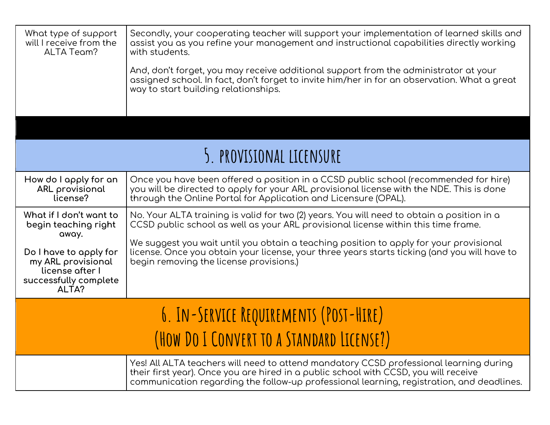<span id="page-10-0"></span>

| What type of support<br>will I receive from the<br>ALTA Team?                                     | Secondly, your cooperating teacher will support your implementation of learned skills and<br>assist you as you refine your management and instructional capabilities directly working<br>with students.                                                                     |  |  |
|---------------------------------------------------------------------------------------------------|-----------------------------------------------------------------------------------------------------------------------------------------------------------------------------------------------------------------------------------------------------------------------------|--|--|
|                                                                                                   | And, don't forget, you may receive additional support from the administrator at your<br>assigned school. In fact, don't forget to invite him/her in for an observation. What a great<br>way to start building relationships.                                                |  |  |
|                                                                                                   |                                                                                                                                                                                                                                                                             |  |  |
|                                                                                                   | 5. PROVISIONAL LICENSURE                                                                                                                                                                                                                                                    |  |  |
| How do I apply for an<br>ARL provisional<br>license?                                              | Once you have been offered a position in a CCSD public school (recommended for hire)<br>you will be directed to apply for your ARL provisional license with the NDE. This is done<br>through the Online Portal for Application and Licensure (OPAL).                        |  |  |
| What if I don't want to<br>begin teaching right<br>away.                                          | No. Your ALTA training is valid for two (2) years. You will need to obtain a position in a<br>CCSD public school as well as your ARL provisional license within this time frame.                                                                                            |  |  |
| Do I have to apply for<br>my ARL provisional<br>license after I<br>successfully complete<br>ALTA? | We suggest you wait until you obtain a teaching position to apply for your provisional<br>license. Once you obtain your license, your three years starts ticking (and you will have to<br>begin removing the license provisions.)                                           |  |  |
| 6. IN-SERVICE REQUIREMENTS (POST-HIRE)                                                            |                                                                                                                                                                                                                                                                             |  |  |
|                                                                                                   | (HOW DO I CONVERT TO A STANDARD LICENSE?)                                                                                                                                                                                                                                   |  |  |
|                                                                                                   | Yes! All ALTA teachers will need to attend mandatory CCSD professional learning during<br>their first year). Once you are hired in a public school with CCSD, you will receive<br>communication regarding the follow-up professional learning, registration, and deadlines. |  |  |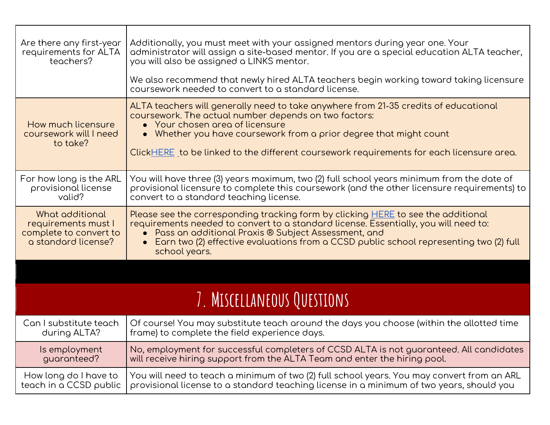<span id="page-11-0"></span>

| Are there any first-year<br>requirements for ALTA<br>teachers?                          | Additionally, you must meet with your assigned mentors during year one. Your<br>administrator will assign a site-based mentor. If you are a special education ALTA teacher,<br>you will also be assigned a LINKS mentor.<br>We also recommend that newly hired ALTA teachers begin working toward taking licensure<br>coursework needed to convert to a standard license. |  |
|-----------------------------------------------------------------------------------------|---------------------------------------------------------------------------------------------------------------------------------------------------------------------------------------------------------------------------------------------------------------------------------------------------------------------------------------------------------------------------|--|
| How much licensure<br>coursework will I need<br>to take?                                | ALTA teachers will generally need to take anywhere from 21-35 credits of educational<br>coursework. The actual number depends on two factors:<br>• Your chosen area of licensure<br>• Whether you have coursework from a prior degree that might count<br>Click <u>HERE</u> to be linked to the different coursework requirements for each licensure area.                |  |
| For how long is the ARL<br>provisional license<br>valid?                                | You will have three (3) years maximum, two (2) full school years minimum from the date of<br>provisional licensure to complete this coursework (and the other licensure requirements) to<br>convert to a standard teaching license.                                                                                                                                       |  |
| What additional<br>requirements must I<br>complete to convert to<br>a standard license? | Please see the corresponding tracking form by clicking <b>HERE</b> to see the additional<br>requirements needed to convert to a standard license. Essentially, you will need to:<br>Pass an additional Praxis ® Subject Assessment, and<br>Earn two (2) effective evaluations from a CCSD public school representing two (2) full<br>school years.                        |  |
|                                                                                         |                                                                                                                                                                                                                                                                                                                                                                           |  |
| 7. MISCELLANEOUS QUESTIONS                                                              |                                                                                                                                                                                                                                                                                                                                                                           |  |
| Can I substitute teach<br>during ALTA?                                                  | Of course! You may substitute teach around the days you choose (within the allotted time<br>frame) to complete the field experience days.                                                                                                                                                                                                                                 |  |
| Is employment<br>guaranteed?                                                            | No, employment for successful completers of CCSD ALTA is not guaranteed. All candidates<br>will receive hiring support from the ALTA Team and enter the hiring pool.                                                                                                                                                                                                      |  |
| How long do I have to<br>teach in a CCSD public                                         | You will need to teach a minimum of two (2) full school years. You may convert from an ARL<br>provisional license to a standard teaching license in a minimum of two years, should you                                                                                                                                                                                    |  |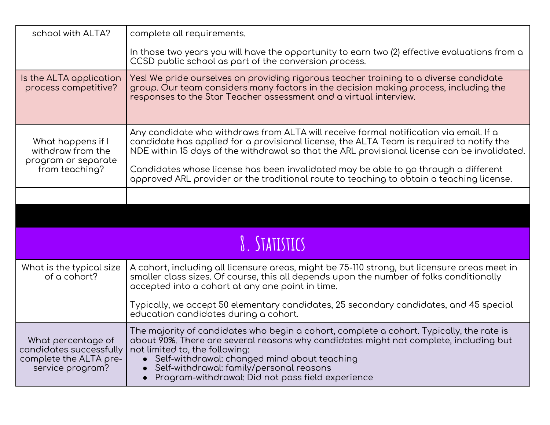<span id="page-12-0"></span>

| school with ALTA?                                                                           | complete all requirements.                                                                                                                                                                                                                                                                                                                                                          |  |
|---------------------------------------------------------------------------------------------|-------------------------------------------------------------------------------------------------------------------------------------------------------------------------------------------------------------------------------------------------------------------------------------------------------------------------------------------------------------------------------------|--|
|                                                                                             | In those two years you will have the opportunity to earn two (2) effective evaluations from a<br>CCSD public school as part of the conversion process.                                                                                                                                                                                                                              |  |
| Is the ALTA application<br>process competitive?                                             | Yes! We pride ourselves on providing rigorous teacher training to a diverse candidate<br>group. Our team considers many factors in the decision making process, including the<br>responses to the Star Teacher assessment and a virtual interview.                                                                                                                                  |  |
| What happens if I<br>withdraw from the<br>program or separate                               | Any candidate who withdraws from ALTA will receive formal notification via email. If a<br>candidate has applied for a provisional license, the ALTA Team is required to notify the<br>NDE within 15 days of the withdrawal so that the ARL provisional license can be invalidated.                                                                                                  |  |
| from teaching?                                                                              | Candidates whose license has been invalidated may be able to go through a different<br>approved ARL provider or the traditional route to teaching to obtain a teaching license.                                                                                                                                                                                                     |  |
|                                                                                             |                                                                                                                                                                                                                                                                                                                                                                                     |  |
|                                                                                             |                                                                                                                                                                                                                                                                                                                                                                                     |  |
| 8. STATISTICS                                                                               |                                                                                                                                                                                                                                                                                                                                                                                     |  |
| What is the typical size<br>of a cohort?                                                    | A cohort, including all licensure areas, might be 75-110 strong, but licensure areas meet in<br>smaller class sizes. Of course, this all depends upon the number of folks conditionally<br>accepted into a cohort at any one point in time.                                                                                                                                         |  |
|                                                                                             | Typically, we accept 50 elementary candidates, 25 secondary candidates, and 45 special<br>education candidates during a cohort.                                                                                                                                                                                                                                                     |  |
| What percentage of<br>candidates successfully<br>complete the ALTA pre-<br>service program? | The majority of candidates who begin a cohort, complete a cohort. Typically, the rate is<br>about 90%. There are several reasons why candidates might not complete, including but<br>not limited to, the following:<br>• Self-withdrawal: changed mind about teaching<br>Self-withdrawal: family/personal reasons<br>Program-withdrawal: Did not pass field experience<br>$\bullet$ |  |